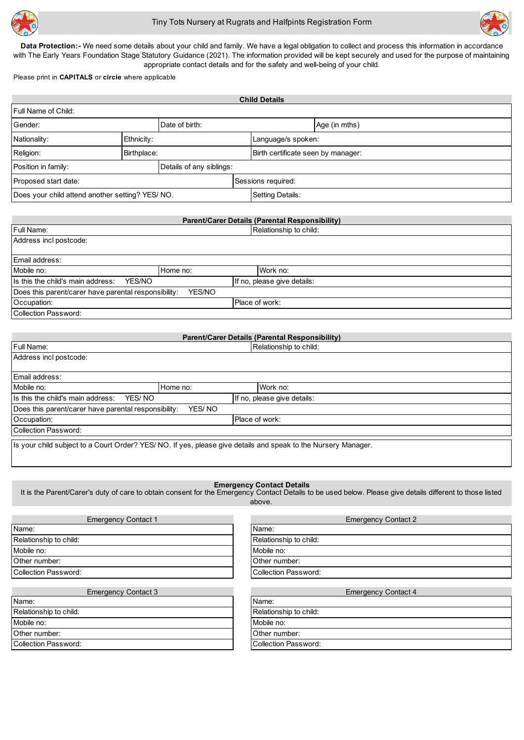



Data Protection:- We need some details about your child and family. We have a legal obligation to collect and process this information in accordance with The Early Years Foundation Stage Statutory Guidance (2021). The information provided will be kept securely and used for the purpose of maintaining appropriate contact details and for the safety and well-being of your child.

Please print in **CAPITALS** or **circle** where applicable

| <b>Child Details</b>                            |             |                          |  |                                    |               |  |
|-------------------------------------------------|-------------|--------------------------|--|------------------------------------|---------------|--|
| <b>Full Name of Child:</b>                      |             |                          |  |                                    |               |  |
| Gender:                                         |             | Date of birth:           |  |                                    | Age (in mths) |  |
| Nationality:                                    | Ethnicity:  |                          |  | Language/s spoken:                 |               |  |
| Religion:                                       | Birthplace: |                          |  | Birth certificate seen by manager: |               |  |
| Position in family:                             |             | Details of any siblings: |  |                                    |               |  |
| Proposed start date:                            |             |                          |  | Sessions required:                 |               |  |
| Does your child attend another setting? YES/NO. |             |                          |  | Setting Details:                   |               |  |

| Parent/Carer Details (Parental Responsibility)                 |          |                             |                        |  |  |  |
|----------------------------------------------------------------|----------|-----------------------------|------------------------|--|--|--|
| Full Name:                                                     |          |                             | Relationship to child: |  |  |  |
| Address incl postcode:                                         |          |                             |                        |  |  |  |
|                                                                |          |                             |                        |  |  |  |
| Email address:                                                 |          |                             |                        |  |  |  |
| Mobile no:                                                     | Home no: |                             | Work no:               |  |  |  |
| Is this the child's main address:<br>YES/NO                    |          | If no, please give details: |                        |  |  |  |
| Does this parent/carer have parental responsibility:<br>YES/NO |          |                             |                        |  |  |  |
| Occupation:                                                    |          |                             | Place of work:         |  |  |  |
| Collection Password:                                           |          |                             |                        |  |  |  |

| Parent/Carer Details (Parental Responsibility)                                                                 |                |                             |  |  |  |  |
|----------------------------------------------------------------------------------------------------------------|----------------|-----------------------------|--|--|--|--|
| <b>Full Name:</b>                                                                                              |                | Relationship to child:      |  |  |  |  |
| Address incl postcode:                                                                                         |                |                             |  |  |  |  |
|                                                                                                                |                |                             |  |  |  |  |
|                                                                                                                | Email address: |                             |  |  |  |  |
| Mobile no:                                                                                                     | Home no:       | Work no:                    |  |  |  |  |
| Is this the child's main address:<br>YES/NO                                                                    |                | If no, please give details: |  |  |  |  |
| Does this parent/carer have parental responsibility:<br>YES/NO                                                 |                |                             |  |  |  |  |
| Place of work:<br>Occupation:                                                                                  |                |                             |  |  |  |  |
| <b>Collection Password:</b>                                                                                    |                |                             |  |  |  |  |
| Is your child subject to a Court Order? YES/ NO. If yes, please give details and speak to the Nursery Manager. |                |                             |  |  |  |  |

#### **Emergency Contact Details**

It is the Parent/Carer's duty of care to obtain consent for the Emergency Contact Details to be used below. Please give details different to those listed above.

| <b>Emergency Contact 1</b>  | <b>Emergency Contact 2</b>  |
|-----------------------------|-----------------------------|
| Name:                       | Name:                       |
| Relationship to child:      | Relationship to child:      |
| Mobile no:                  | Mobile no:                  |
| Other number:               | Other number:               |
| <b>Collection Password:</b> | <b>Collection Password:</b> |
|                             |                             |
| <b>Emergency Contact 3</b>  | <b>Emergency Contact 4</b>  |
| Name:                       | Name:                       |
| Relationship to child:      | Relationship to child:      |
| Mobile no:                  | Mobile no:                  |
| Other number:               | Other number:               |
| <b>Collection Password:</b> | <b>Collection Password:</b> |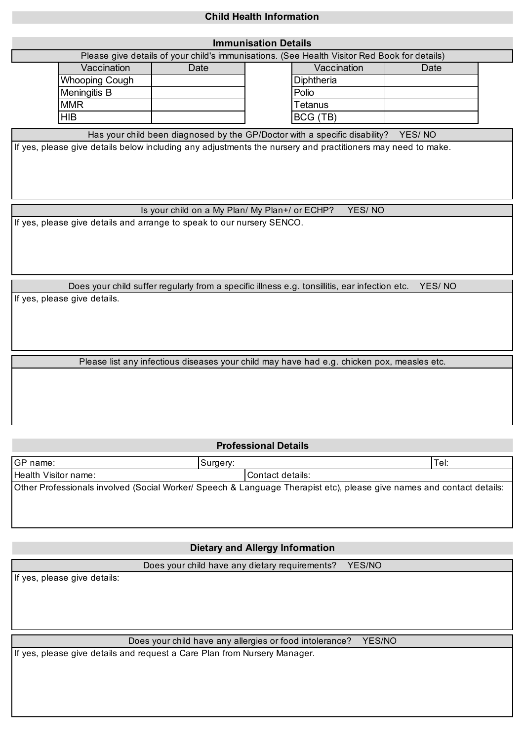# **Child Health Information**

| <b>Immunisation Details</b>                                                                             |                                                                                                             |      |  |                                                                            |        |  |  |
|---------------------------------------------------------------------------------------------------------|-------------------------------------------------------------------------------------------------------------|------|--|----------------------------------------------------------------------------|--------|--|--|
| Please give details of your child's immunisations. (See Health Visitor Red Book for details)            |                                                                                                             |      |  |                                                                            |        |  |  |
|                                                                                                         | Vaccination                                                                                                 | Date |  | Vaccination                                                                | Date   |  |  |
|                                                                                                         | Whooping Cough                                                                                              |      |  | Diphtheria                                                                 |        |  |  |
|                                                                                                         | Meningitis B                                                                                                |      |  | Polio                                                                      |        |  |  |
|                                                                                                         | <b>MMR</b>                                                                                                  |      |  | <b>Tetanus</b>                                                             |        |  |  |
|                                                                                                         | <b>HIB</b>                                                                                                  |      |  | BCG (TB)                                                                   |        |  |  |
|                                                                                                         |                                                                                                             |      |  | Has your child been diagnosed by the GP/Doctor with a specific disability? | YES/NO |  |  |
|                                                                                                         | If yes, please give details below including any adjustments the nursery and practitioners may need to make. |      |  |                                                                            |        |  |  |
|                                                                                                         |                                                                                                             |      |  |                                                                            |        |  |  |
|                                                                                                         |                                                                                                             |      |  |                                                                            |        |  |  |
|                                                                                                         |                                                                                                             |      |  |                                                                            |        |  |  |
|                                                                                                         |                                                                                                             |      |  |                                                                            |        |  |  |
| Is your child on a My Plan/ My Plan+/ or ECHP?<br>YES/NO                                                |                                                                                                             |      |  |                                                                            |        |  |  |
| If yes, please give details and arrange to speak to our nursery SENCO.                                  |                                                                                                             |      |  |                                                                            |        |  |  |
|                                                                                                         |                                                                                                             |      |  |                                                                            |        |  |  |
|                                                                                                         |                                                                                                             |      |  |                                                                            |        |  |  |
|                                                                                                         |                                                                                                             |      |  |                                                                            |        |  |  |
|                                                                                                         |                                                                                                             |      |  |                                                                            |        |  |  |
| YES/NO<br>Does your child suffer regularly from a specific illness e.g. tonsillitis, ear infection etc. |                                                                                                             |      |  |                                                                            |        |  |  |
| If yes, please give details.                                                                            |                                                                                                             |      |  |                                                                            |        |  |  |

Please list any infectious diseases your child may have had e.g. chicken pox, measles etc.

### **Professional Details**

| IGP name:            | Surgery: |                                                                                                                       | Tel: |
|----------------------|----------|-----------------------------------------------------------------------------------------------------------------------|------|
| Health Visitor name: |          | l Contact details:                                                                                                    |      |
|                      |          | Other Professionals involved (Social Worker/ Speech & Language Therapist etc), please give names and contact details: |      |

### **Dietary and Allergy Information**

Does your child have any dietary requirements? YES/NO

If yes, please give details:

Does your child have any allergies or food intolerance? YES/NO

If yes, please give details and request a Care Plan from Nursery Manager.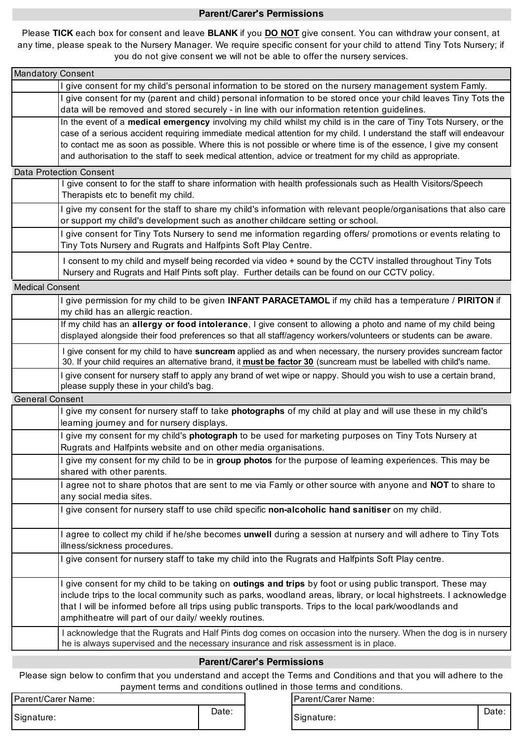#### **Parent/Carer's Permissions**

Please **TICK** each box for consent and leave **BLANK** if you <u>DO NOT</u> give consent. You can withdraw your consent, at any time, please speak to the Nursery Manager. We require specific consent for your child to attend Tiny Tots Nursery; if you do not give consent we will not be able to offer the nursery services.

| <b>Mandatory Consent</b> |                                                                                                                                                                                                                                                                                                                                                                                                                                                                              |
|--------------------------|------------------------------------------------------------------------------------------------------------------------------------------------------------------------------------------------------------------------------------------------------------------------------------------------------------------------------------------------------------------------------------------------------------------------------------------------------------------------------|
|                          | I give consent for my child's personal information to be stored on the nursery management system Famly.                                                                                                                                                                                                                                                                                                                                                                      |
|                          | I give consent for my (parent and child) personal information to be stored once your child leaves Tiny Tots the<br>data will be removed and stored securely - in line with our information retention guidelines.                                                                                                                                                                                                                                                             |
|                          | In the event of a medical emergency involving my child whilst my child is in the care of Tiny Tots Nursery, or the<br>case of a serious accident requiring immediate medical attention for my child. I understand the staff will endeavour<br>to contact me as soon as possible. Where this is not possible or where time is of the essence, I give my consent<br>and authorisation to the staff to seek medical attention, advice or treatment for my child as appropriate. |
|                          | <b>Data Protection Consent</b>                                                                                                                                                                                                                                                                                                                                                                                                                                               |
|                          | give consent to for the staff to share information with health professionals such as Health Visitors/Speech<br>Therapists etc to benefit my child.                                                                                                                                                                                                                                                                                                                           |
|                          | I give my consent for the staff to share my child's information with relevant people/organisations that also care<br>or support my child's development such as another childcare setting or school.                                                                                                                                                                                                                                                                          |
|                          | I give consent for Tiny Tots Nursery to send me information regarding offers/ promotions or events relating to<br>Tiny Tots Nursery and Rugrats and Halfpints Soft Play Centre.                                                                                                                                                                                                                                                                                              |
|                          | I consent to my child and myself being recorded via video + sound by the CCTV installed throughout Tiny Tots<br>Nursery and Rugrats and Half Pints soft play. Further details can be found on our CCTV policy.                                                                                                                                                                                                                                                               |
| <b>Medical Consent</b>   |                                                                                                                                                                                                                                                                                                                                                                                                                                                                              |
|                          | I give permission for my child to be given <b>INFANT PARACETAMOL</b> if my child has a temperature / <b>PIRITON</b> if<br>my child has an allergic reaction.                                                                                                                                                                                                                                                                                                                 |
|                          | If my child has an allergy or food intolerance, I give consent to allowing a photo and name of my child being<br>displayed alongside their food preferences so that all staff/agency workers/volunteers or students can be aware.                                                                                                                                                                                                                                            |
|                          | I give consent for my child to have suncream applied as and when necessary, the nursery provides suncream factor<br>30. If your child requires an alternative brand, it must be factor 30 (suncream must be labelled with child's name.                                                                                                                                                                                                                                      |
|                          | I give consent for nursery staff to apply any brand of wet wipe or nappy. Should you wish to use a certain brand,<br>please supply these in your child's bag.                                                                                                                                                                                                                                                                                                                |
| <b>General Consent</b>   |                                                                                                                                                                                                                                                                                                                                                                                                                                                                              |
|                          | give my consent for nursery staff to take photographs of my child at play and will use these in my child's<br>learning journey and for nursery displays.                                                                                                                                                                                                                                                                                                                     |
|                          | I give my consent for my child's photograph to be used for marketing purposes on Tiny Tots Nursery at<br>Rugrats and Halfpints website and on other media organisations.                                                                                                                                                                                                                                                                                                     |
|                          | I give my consent for my child to be in group photos for the purpose of learning experiences. This may be<br>shared with other parents.                                                                                                                                                                                                                                                                                                                                      |
|                          | I agree not to share photos that are sent to me via Famly or other source with anyone and NOT to share to<br>any social media sites.                                                                                                                                                                                                                                                                                                                                         |
|                          | I give consent for nursery staff to use child specific non-alcoholic hand sanitiser on my child.                                                                                                                                                                                                                                                                                                                                                                             |
|                          | I agree to collect my child if he/she becomes unwell during a session at nursery and will adhere to Tiny Tots<br>illness/sickness procedures.                                                                                                                                                                                                                                                                                                                                |
|                          | I give consent for nursery staff to take my child into the Rugrats and Halfpints Soft Play centre.                                                                                                                                                                                                                                                                                                                                                                           |
|                          | I give consent for my child to be taking on <b>outings and trips</b> by foot or using public transport. These may<br>include trips to the local community such as parks, woodland areas, library, or local highstreets. I acknowledge<br>that I will be informed before all trips using public transports. Trips to the local park/woodlands and<br>amphitheatre will part of our daily/ weekly routines.                                                                    |
|                          | I acknowledge that the Rugrats and Half Pints dog comes on occasion into the nursery. When the dog is in nursery<br>he is always supervised and the necessary insurance and risk assessment is in place.                                                                                                                                                                                                                                                                     |
|                          |                                                                                                                                                                                                                                                                                                                                                                                                                                                                              |

## Please sign below to confirm that you understand and accept the Terms and Conditions and that you will adhere to the **Parent/Carer's Permissions**

payment terms and conditions outlined in those terms and conditions. Please sign below to confirm that you understand and accept the Terms and Conditions and that you will adhere to the

| Parent/Carer Name: |       |
|--------------------|-------|
| Signature:         | Date: |

Parent/Carer Name:<br>
Date:

Signature: **Date:**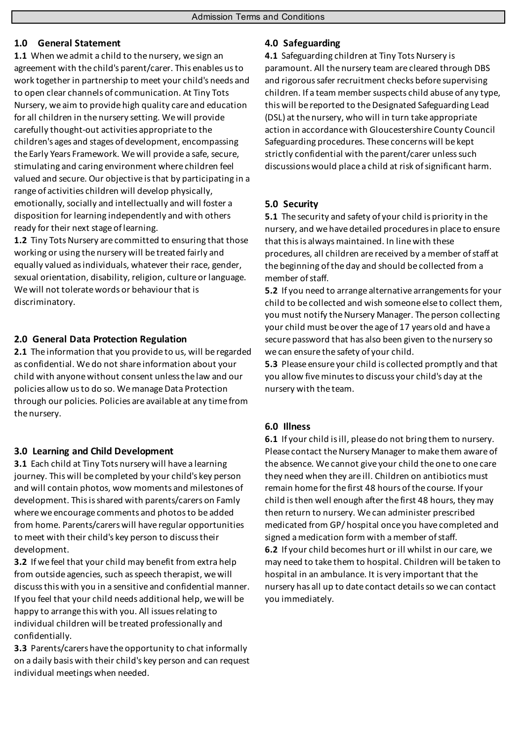# **1.0 General Statement**

**1.1** When we admit a child to the nursery, we sign an agreement with the child's parent/carer. This enables us to work together in partnership to meet your child's needs and to open clear channels of communication. At Tiny Tots Nursery, we aim to provide high quality care and education for all children in the nursery setting. We will provide carefully thought-out activities appropriate to the children's ages and stages of development, encompassing the Early Years Framework. We will provide a safe, secure, stimulating and caring environment where children feel valued and secure. Our objective is that by participating in a range of activities children will develop physically, emotionally, socially and intellectually and will foster a disposition for learning independently and with others ready for their next stage of learning.

**1.2** Tiny Tots Nursery are committed to ensuring that those working or using the nursery will be treated fairly and equally valued as individuals, whatever their race, gender, sexual orientation, disability, religion, culture or language. We will not tolerate words or behaviour that is discriminatory.

# **2.0 General Data Protection Regulation**

**2.1** The information that you provide to us, will be regarded as confidential. We do not share information about your child with anyone without consent unless the law and our policies allow us to do so. We manage Data Protection through our policies. Policies are available at any time from the nursery.

# **3.0 Learning and Child Development**

**3.1** Each child at Tiny Tots nursery will have a learning journey. This will be completed by your child's key person and will contain photos, wow moments and milestones of development. This is shared with parents/carers on Famly where we encourage comments and photos to be added from home. Parents/carers will have regular opportunities to meet with their child's key person to discuss their development.

**3.2** If we feel that your child may benefit from extra help from outside agencies, such as speech therapist, we will discuss this with you in a sensitive and confidential manner. If you feel that your child needs additional help, we will be happy to arrange this with you. All issues relating to individual children will be treated professionally and confidentially.

**3.3** Parents/carers have the opportunity to chat informally on a daily basis with their child's key person and can request individual meetings when needed.

# **4.0 Safeguarding**

**4.1** Safeguarding children at Tiny Tots Nursery is paramount. All the nursery team are cleared through DBS and rigorous safer recruitment checks before supervising children. If a team member suspects child abuse of any type, this will be reported to the Designated Safeguarding Lead (DSL) at the nursery, who will in turn take appropriate action in accordance with Gloucestershire County Council Safeguarding procedures. These concerns will be kept strictly confidential with the parent/carer unless such discussions would place a child at risk of significant harm.

# **5.0 Security**

**5.1** The security and safety of your child is priority in the nursery, and we have detailed procedures in place to ensure that this is always maintained. In line with these procedures, all children are received by a member of staff at the beginning of the day and should be collected from a member of staff.

**5.2** If you need to arrange alternative arrangements for your child to be collected and wish someone else to collect them, you must notify the Nursery Manager. The person collecting your child must be over the age of 17 years old and have a secure password that has also been given to the nursery so we can ensure the safety of your child.

**5.3** Please ensure your child is collected promptly and that you allow five minutes to discuss your child's day at the nursery with the team.

# **6.0 Illness**

**6.1** If your child is ill, please do not bring them to nursery. Please contact the Nursery Manager to make them aware of the absence. We cannot give your child the one to one care they need when they are ill. Children on antibiotics must remain home for the first 48 hours of the course. If your child is then well enough after the first 48 hours, they may then return to nursery. We can administer prescribed medicated from GP/ hospital once you have completed and signed a medication form with a member of staff. **6.2** If your child becomes hurt or ill whilst in our care, we may need to take them to hospital. Children will be taken to hospital in an ambulance. It is very important that the nursery has all up to date contact details so we can contact you immediately.